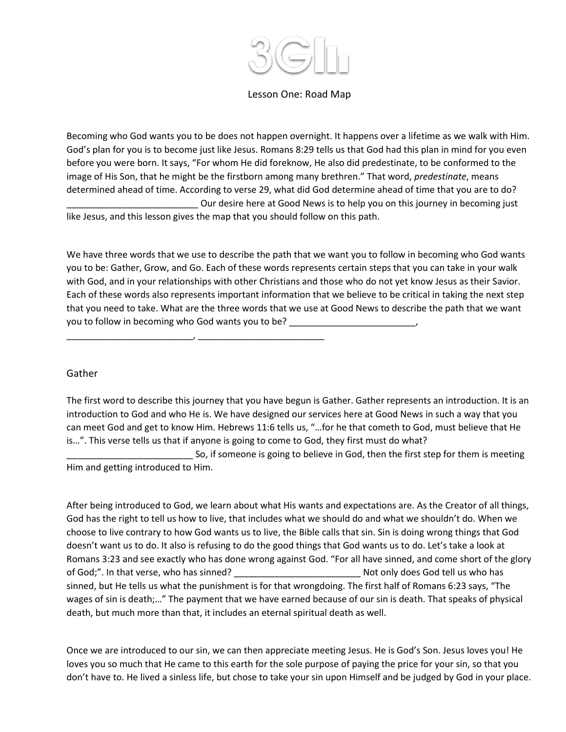

## Lesson One: Road Map

Becoming who God wants you to be does not happen overnight. It happens over a lifetime as we walk with Him. God's plan for you is to become just like Jesus. Romans 8:29 tells us that God had this plan in mind for you even before you were born. It says, "For whom He did foreknow, He also did predestinate, to be conformed to the image of His Son, that he might be the firstborn among many brethren." That word, *predestinate*, means determined ahead of time. According to verse 29, what did God determine ahead of time that you are to do? Our desire here at Good News is to help you on this journey in becoming just like Jesus, and this lesson gives the map that you should follow on this path.

We have three words that we use to describe the path that we want you to follow in becoming who God wants you to be: Gather, Grow, and Go. Each of these words represents certain steps that you can take in your walk with God, and in your relationships with other Christians and those who do not yet know Jesus as their Savior. Each of these words also represents important information that we believe to be critical in taking the next step that you need to take. What are the three words that we use at Good News to describe the path that we want you to follow in becoming who God wants you to be? \_\_\_\_\_\_\_\_\_\_\_

\_\_\_\_\_\_\_\_\_\_\_\_\_\_\_\_\_\_\_\_\_\_\_\_\_, \_\_\_\_\_\_\_\_\_\_\_\_\_\_\_\_\_\_\_\_\_\_\_\_\_

## Gather

The first word to describe this journey that you have begun is Gather. Gather represents an introduction. It is an introduction to God and who He is. We have designed our services here at Good News in such a way that you can meet God and get to know Him. Hebrews 11:6 tells us, "…for he that cometh to God, must believe that He is…". This verse tells us that if anyone is going to come to God, they first must do what?

So, if someone is going to believe in God, then the first step for them is meeting Him and getting introduced to Him.

After being introduced to God, we learn about what His wants and expectations are. As the Creator of all things, God has the right to tell us how to live, that includes what we should do and what we shouldn't do. When we choose to live contrary to how God wants us to live, the Bible calls that sin. Sin is doing wrong things that God doesn't want us to do. It also is refusing to do the good things that God wants us to do. Let's take a look at Romans 3:23 and see exactly who has done wrong against God. "For all have sinned, and come short of the glory of God;". In that verse, who has sinned? \_\_\_\_\_\_\_\_\_\_\_\_\_\_\_\_\_\_\_\_\_\_\_\_\_ Not only does God tell us who has sinned, but He tells us what the punishment is for that wrongdoing. The first half of Romans 6:23 says, "The wages of sin is death;…" The payment that we have earned because of our sin is death. That speaks of physical death, but much more than that, it includes an eternal spiritual death as well.

Once we are introduced to our sin, we can then appreciate meeting Jesus. He is God's Son. Jesus loves you! He loves you so much that He came to this earth for the sole purpose of paying the price for your sin, so that you don't have to. He lived a sinless life, but chose to take your sin upon Himself and be judged by God in your place.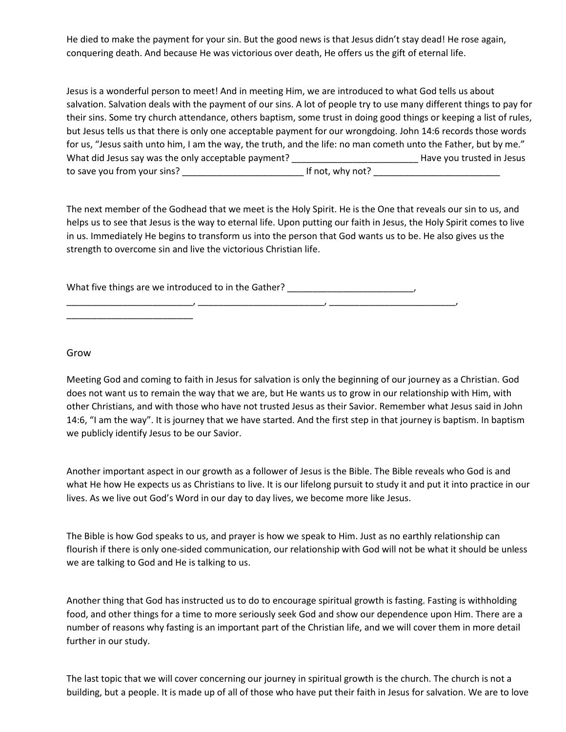He died to make the payment for your sin. But the good news is that Jesus didn't stay dead! He rose again, conquering death. And because He was victorious over death, He offers us the gift of eternal life.

Jesus is a wonderful person to meet! And in meeting Him, we are introduced to what God tells us about salvation. Salvation deals with the payment of our sins. A lot of people try to use many different things to pay for their sins. Some try church attendance, others baptism, some trust in doing good things or keeping a list of rules, but Jesus tells us that there is only one acceptable payment for our wrongdoing. John 14:6 records those words for us, "Jesus saith unto him, I am the way, the truth, and the life: no man cometh unto the Father, but by me." What did Jesus say was the only acceptable payment? \_\_\_\_\_\_\_\_\_\_\_\_\_\_\_\_\_\_\_\_\_\_\_\_\_\_\_\_Have you trusted in Jesus to save you from your sins? \_\_\_\_\_\_\_\_\_\_\_\_\_\_\_\_\_\_\_\_\_\_\_\_ If not, why not? \_\_\_\_\_\_\_\_\_\_\_\_\_\_\_\_\_\_\_\_\_\_\_\_\_

The next member of the Godhead that we meet is the Holy Spirit. He is the One that reveals our sin to us, and helps us to see that Jesus is the way to eternal life. Upon putting our faith in Jesus, the Holy Spirit comes to live in us. Immediately He begins to transform us into the person that God wants us to be. He also gives us the strength to overcome sin and live the victorious Christian life.

What five things are we introduced to in the Gather? \_\_\_\_\_\_\_\_\_\_\_\_\_\_\_\_\_\_\_\_\_\_\_\_\_\_\_ \_\_\_\_\_\_\_\_\_\_\_\_\_\_\_\_\_\_\_\_\_\_\_\_\_, \_\_\_\_\_\_\_\_\_\_\_\_\_\_\_\_\_\_\_\_\_\_\_\_\_, \_\_\_\_\_\_\_\_\_\_\_\_\_\_\_\_\_\_\_\_\_\_\_\_\_,

Grow

\_\_\_\_\_\_\_\_\_\_\_\_\_\_\_\_\_\_\_\_\_\_\_\_\_

Meeting God and coming to faith in Jesus for salvation is only the beginning of our journey as a Christian. God does not want us to remain the way that we are, but He wants us to grow in our relationship with Him, with other Christians, and with those who have not trusted Jesus as their Savior. Remember what Jesus said in John 14:6, "I am the way". It is journey that we have started. And the first step in that journey is baptism. In baptism we publicly identify Jesus to be our Savior.

Another important aspect in our growth as a follower of Jesus is the Bible. The Bible reveals who God is and what He how He expects us as Christians to live. It is our lifelong pursuit to study it and put it into practice in our lives. As we live out God's Word in our day to day lives, we become more like Jesus.

The Bible is how God speaks to us, and prayer is how we speak to Him. Just as no earthly relationship can flourish if there is only one-sided communication, our relationship with God will not be what it should be unless we are talking to God and He is talking to us.

Another thing that God has instructed us to do to encourage spiritual growth is fasting. Fasting is withholding food, and other things for a time to more seriously seek God and show our dependence upon Him. There are a number of reasons why fasting is an important part of the Christian life, and we will cover them in more detail further in our study.

The last topic that we will cover concerning our journey in spiritual growth is the church. The church is not a building, but a people. It is made up of all of those who have put their faith in Jesus for salvation. We are to love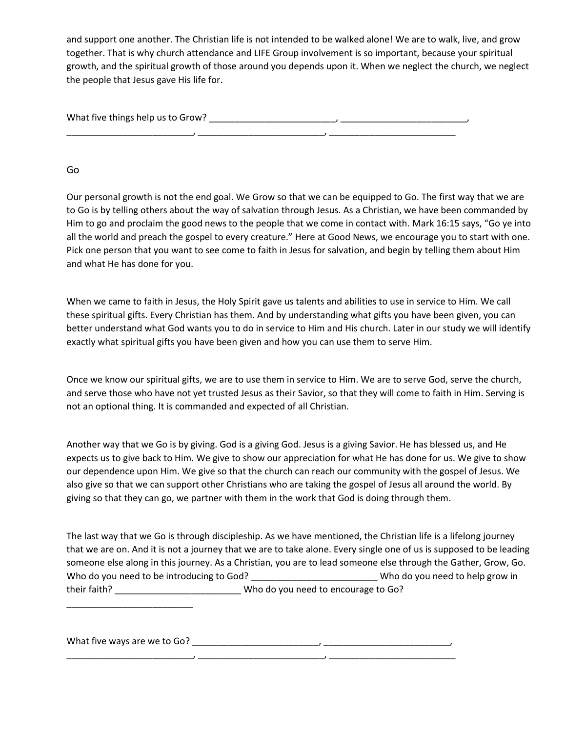and support one another. The Christian life is not intended to be walked alone! We are to walk, live, and grow together. That is why church attendance and LIFE Group involvement is so important, because your spiritual growth, and the spiritual growth of those around you depends upon it. When we neglect the church, we neglect the people that Jesus gave His life for.

What five things help us to Grow? \_\_\_\_\_\_\_\_\_\_\_\_\_\_\_\_\_\_\_\_\_\_\_\_\_, \_\_\_\_\_\_\_\_\_\_\_\_\_\_\_\_\_\_\_\_\_\_\_\_\_, \_\_\_\_\_\_\_\_\_\_\_\_\_\_\_\_\_\_\_\_\_\_\_\_\_, \_\_\_\_\_\_\_\_\_\_\_\_\_\_\_\_\_\_\_\_\_\_\_\_\_, \_\_\_\_\_\_\_\_\_\_\_\_\_\_\_\_\_\_\_\_\_\_\_\_\_

Go

Our personal growth is not the end goal. We Grow so that we can be equipped to Go. The first way that we are to Go is by telling others about the way of salvation through Jesus. As a Christian, we have been commanded by Him to go and proclaim the good news to the people that we come in contact with. Mark 16:15 says, "Go ye into all the world and preach the gospel to every creature." Here at Good News, we encourage you to start with one. Pick one person that you want to see come to faith in Jesus for salvation, and begin by telling them about Him and what He has done for you.

When we came to faith in Jesus, the Holy Spirit gave us talents and abilities to use in service to Him. We call these spiritual gifts. Every Christian has them. And by understanding what gifts you have been given, you can better understand what God wants you to do in service to Him and His church. Later in our study we will identify exactly what spiritual gifts you have been given and how you can use them to serve Him.

Once we know our spiritual gifts, we are to use them in service to Him. We are to serve God, serve the church, and serve those who have not yet trusted Jesus as their Savior, so that they will come to faith in Him. Serving is not an optional thing. It is commanded and expected of all Christian.

Another way that we Go is by giving. God is a giving God. Jesus is a giving Savior. He has blessed us, and He expects us to give back to Him. We give to show our appreciation for what He has done for us. We give to show our dependence upon Him. We give so that the church can reach our community with the gospel of Jesus. We also give so that we can support other Christians who are taking the gospel of Jesus all around the world. By giving so that they can go, we partner with them in the work that God is doing through them.

The last way that we Go is through discipleship. As we have mentioned, the Christian life is a lifelong journey that we are on. And it is not a journey that we are to take alone. Every single one of us is supposed to be leading someone else along in this journey. As a Christian, you are to lead someone else through the Gather, Grow, Go. Who do you need to be introducing to God? \_\_\_\_\_\_\_\_\_\_\_\_\_\_\_\_\_\_\_\_\_\_\_\_\_\_\_\_Who do you need to help grow in their faith? who do you need to encourage to Go?

What five ways are we to Go? \_\_\_\_\_\_\_\_\_\_\_\_\_\_\_\_\_\_\_\_\_\_\_\_\_, \_\_\_\_\_\_\_\_\_\_\_\_\_\_\_\_\_\_\_\_\_\_\_\_\_,

\_\_\_\_\_\_\_\_\_\_\_\_\_\_\_\_\_\_\_\_\_\_\_\_\_, \_\_\_\_\_\_\_\_\_\_\_\_\_\_\_\_\_\_\_\_\_\_\_\_\_, \_\_\_\_\_\_\_\_\_\_\_\_\_\_\_\_\_\_\_\_\_\_\_\_\_

\_\_\_\_\_\_\_\_\_\_\_\_\_\_\_\_\_\_\_\_\_\_\_\_\_